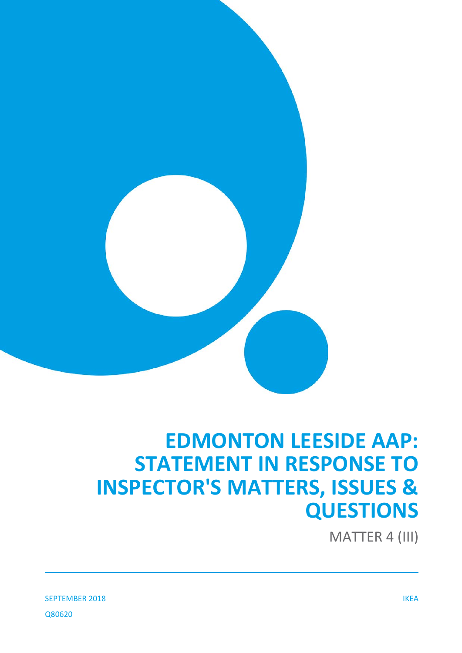

# **EDMONTON LEESIDE AAP: STATEMENT IN RESPONSE TO INSPECTOR'S MATTERS, ISSUES & QUESTIONS**

MATTER 4 (III)

SEPTEMBER 2018 IKEA Q80620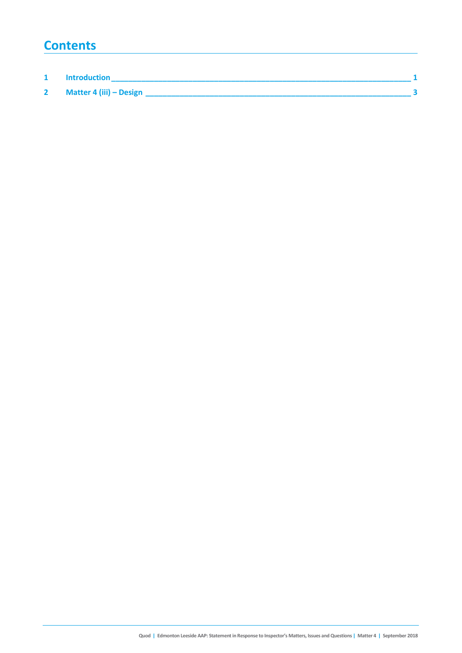## **Contents**

| <b>Introduction</b>     |  |
|-------------------------|--|
| Matter 4 (iii) - Design |  |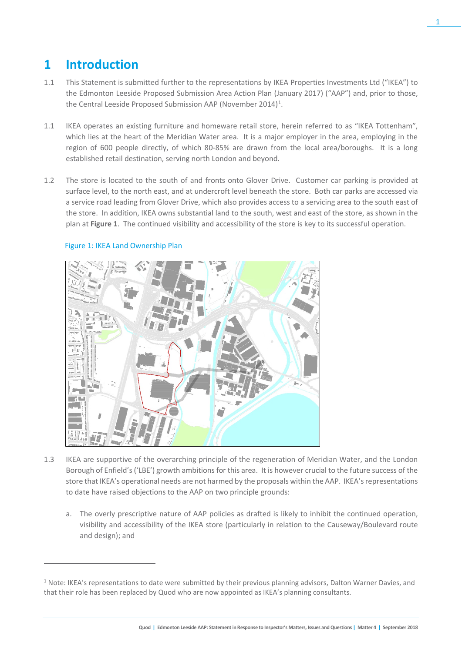## **1 Introduction**

- 1.1 This Statement is submitted further to the representations by IKEA Properties Investments Ltd ("IKEA") to the Edmonton Leeside Proposed Submission Area Action Plan (January 2017) ("AAP") and, prior to those, the Central Leeside Proposed Submission AAP (November 20[1](#page-2-0)4)<sup>1</sup>.
- 1.1 IKEA operates an existing furniture and homeware retail store, herein referred to as "IKEA Tottenham", which lies at the heart of the Meridian Water area. It is a major employer in the area, employing in the region of 600 people directly, of which 80-85% are drawn from the local area/boroughs. It is a long established retail destination, serving north London and beyond.
- 1.2 The store is located to the south of and fronts onto Glover Drive. Customer car parking is provided at surface level, to the north east, and at undercroft level beneath the store. Both car parks are accessed via a service road leading from Glover Drive, which also provides access to a servicing area to the south east of the store. In addition, IKEA owns substantial land to the south, west and east of the store, as shown in the plan at **Figure 1**. The continued visibility and accessibility of the store is key to its successful operation.



### Figure 1: IKEA Land Ownership Plan

 $\overline{a}$ 

- 1.3 IKEA are supportive of the overarching principle of the regeneration of Meridian Water, and the London Borough of Enfield's ('LBE') growth ambitions for this area. It is however crucial to the future success of the store that IKEA's operational needs are not harmed by the proposals within the AAP. IKEA's representations to date have raised objections to the AAP on two principle grounds:
	- a. The overly prescriptive nature of AAP policies as drafted is likely to inhibit the continued operation, visibility and accessibility of the IKEA store (particularly in relation to the Causeway/Boulevard route and design); and

1

<span id="page-2-0"></span> $1$  Note: IKEA's representations to date were submitted by their previous planning advisors, Dalton Warner Davies, and that their role has been replaced by Quod who are now appointed as IKEA's planning consultants.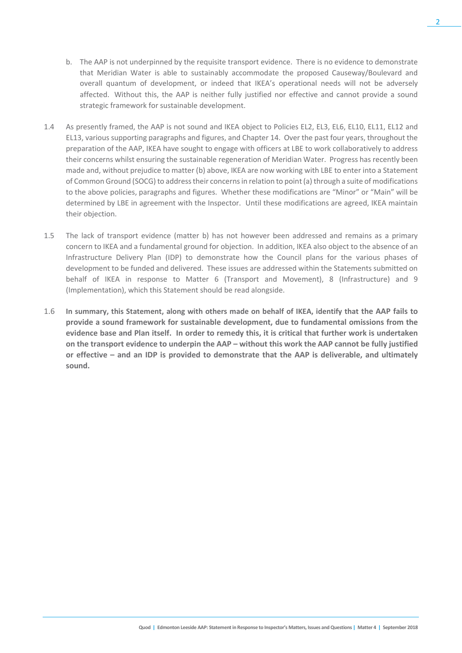- b. The AAP is not underpinned by the requisite transport evidence. There is no evidence to demonstrate that Meridian Water is able to sustainably accommodate the proposed Causeway/Boulevard and overall quantum of development, or indeed that IKEA's operational needs will not be adversely affected. Without this, the AAP is neither fully justified nor effective and cannot provide a sound strategic framework for sustainable development.
- 1.4 As presently framed, the AAP is not sound and IKEA object to Policies EL2, EL3, EL6, EL10, EL11, EL12 and EL13, various supporting paragraphs and figures, and Chapter 14. Over the past four years, throughout the preparation of the AAP, IKEA have sought to engage with officers at LBE to work collaboratively to address their concerns whilst ensuring the sustainable regeneration of Meridian Water. Progress has recently been made and, without prejudice to matter (b) above, IKEA are now working with LBE to enter into a Statement of Common Ground (SOCG) to address their concerns in relation to point (a) through a suite of modifications to the above policies, paragraphs and figures. Whether these modifications are "Minor" or "Main" will be determined by LBE in agreement with the Inspector. Until these modifications are agreed, IKEA maintain their objection.
- 1.5 The lack of transport evidence (matter b) has not however been addressed and remains as a primary concern to IKEA and a fundamental ground for objection. In addition, IKEA also object to the absence of an Infrastructure Delivery Plan (IDP) to demonstrate how the Council plans for the various phases of development to be funded and delivered. These issues are addressed within the Statements submitted on behalf of IKEA in response to Matter 6 (Transport and Movement), 8 (Infrastructure) and 9 (Implementation), which this Statement should be read alongside.
- 1.6 **In summary, this Statement, along with others made on behalf of IKEA, identify that the AAP fails to provide a sound framework for sustainable development, due to fundamental omissions from the evidence base and Plan itself. In order to remedy this, it is critical that further work is undertaken on the transport evidence to underpin the AAP – without this work the AAP cannot be fully justified or effective – and an IDP is provided to demonstrate that the AAP is deliverable, and ultimately sound.**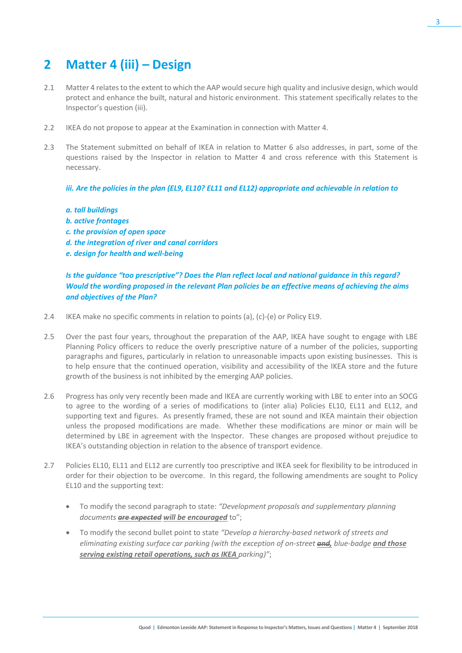## **2 Matter 4 (iii) – Design**

- 2.1 Matter 4 relates to the extent to which the AAP would secure high quality and inclusive design, which would protect and enhance the built, natural and historic environment. This statement specifically relates to the Inspector's question (iii).
- 2.2 IKEA do not propose to appear at the Examination in connection with Matter 4.
- 2.3 The Statement submitted on behalf of IKEA in relation to Matter 6 also addresses, in part, some of the questions raised by the Inspector in relation to Matter 4 and cross reference with this Statement is necessary.

*iii. Are the policies in the plan (EL9, EL10? EL11 and EL12) appropriate and achievable in relation to*

#### *a. tall buildings*

- *b. active frontages*
- *c. the provision of open space*
- *d. the integration of river and canal corridors*
- *e. design for health and well-being*

*Is the guidance "too prescriptive"? Does the Plan reflect local and national guidance in this regard? Would the wording proposed in the relevant Plan policies be an effective means of achieving the aims and objectives of the Plan?*

- 2.4 IKEA make no specific comments in relation to points (a), (c)-(e) or Policy EL9.
- 2.5 Over the past four years, throughout the preparation of the AAP, IKEA have sought to engage with LBE Planning Policy officers to reduce the overly prescriptive nature of a number of the policies, supporting paragraphs and figures, particularly in relation to unreasonable impacts upon existing businesses. This is to help ensure that the continued operation, visibility and accessibility of the IKEA store and the future growth of the business is not inhibited by the emerging AAP policies.
- 2.6 Progress has only very recently been made and IKEA are currently working with LBE to enter into an SOCG to agree to the wording of a series of modifications to (inter alia) Policies EL10, EL11 and EL12, and supporting text and figures. As presently framed, these are not sound and IKEA maintain their objection unless the proposed modifications are made. Whether these modifications are minor or main will be determined by LBE in agreement with the Inspector. These changes are proposed without prejudice to IKEA's outstanding objection in relation to the absence of transport evidence.
- 2.7 Policies EL10, EL11 and EL12 are currently too prescriptive and IKEA seek for flexibility to be introduced in order for their objection to be overcome. In this regard, the following amendments are sought to Policy EL10 and the supporting text:
	- To modify the second paragraph to state: *"Development proposals and supplementary planning documents are expected will be encouraged* to";
	- To modify the second bullet point to state *"Develop a hierarchy-based network of streets and eliminating existing surface car parking (with the exception of on-street and, blue-badge and those serving existing retail operations, such as IKEA parking)"*;